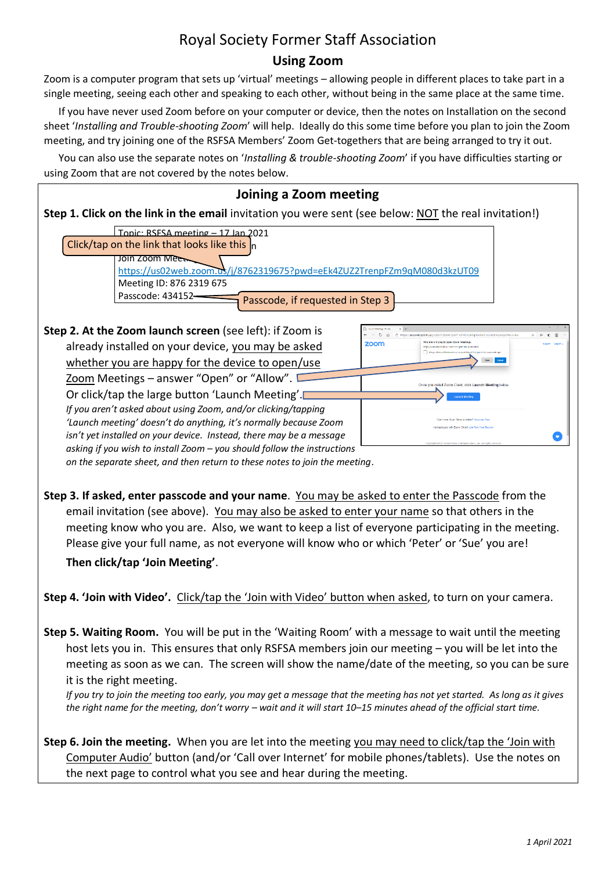## Royal Society Former Staff Association **Using Zoom**

Zoom is a computer program that sets up 'virtual' meetings – allowing people in different places to take part in a single meeting, seeing each other and speaking to each other, without being in the same place at the same time.

If you have never used Zoom before on your computer or device, then the notes on Installation on the second sheet '*Installing and Trouble-shooting Zoom*' will help. Ideally do this some time before you plan to join the Zoom meeting, and try joining one of the RSFSA Members' Zoom Get-togethers that are being arranged to try it out.

You can also use the separate notes on '*Installing & trouble-shooting Zoom*' if you have difficulties starting or using Zoom that are not covered by the notes below.